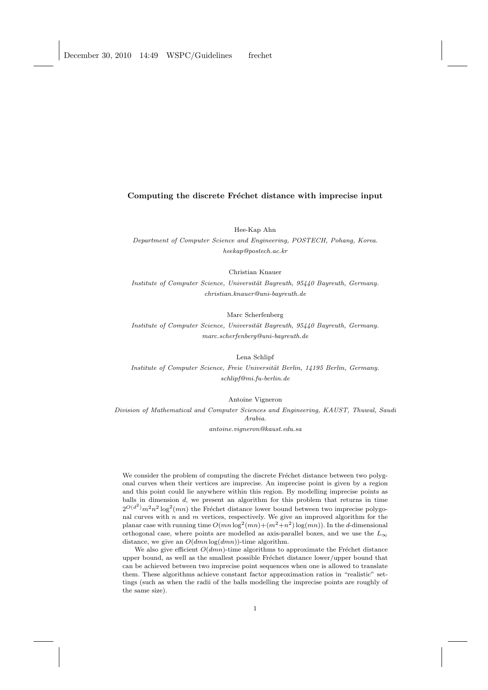## Computing the discrete Fréchet distance with imprecise input

Hee-Kap Ahn Department of Computer Science and Engineering, POSTECH, Pohang, Korea. heekap@postech.ac.kr

Christian Knauer Institute of Computer Science, Universität Bayreuth, 95440 Bayreuth, Germany. christian.knauer@uni-bayreuth.de

Marc Scherfenberg

Institute of Computer Science, Universität Bayreuth, 95440 Bayreuth, Germany. marc.scherfenberg@uni-bayreuth.de

Lena Schlipf Institute of Computer Science, Freie Universität Berlin, 14195 Berlin, Germany. schlipf@mi.fu-berlin.de

Antoine Vigneron

Division of Mathematical and Computer Sciences and Engineering, KAUST, Thuwal, Saudi Arabia.

antoine.vigneron@kaust.edu.sa

We consider the problem of computing the discrete Fréchet distance between two polygonal curves when their vertices are imprecise. An imprecise point is given by a region and this point could lie anywhere within this region. By modelling imprecise points as balls in dimension d, we present an algorithm for this problem that returns in time  $2^{O(d^2)}m^2n^2\log^2(mn)$  the Fréchet distance lower bound between two imprecise polygonal curves with  $n$  and  $m$  vertices, respectively. We give an improved algorithm for the planar case with running time  $O(mn \log^2(mn) + (m^2+n^2) \log(mn))$ . In the d-dimensional orthogonal case, where points are modelled as axis-parallel boxes, and we use the  $L_{\infty}$ distance, we give an  $O(dmn \log (dmn))$ -time algorithm.

We also give efficient  $O(dmn)$ -time algorithms to approximate the Fréchet distance upper bound, as well as the smallest possible Fréchet distance lower/upper bound that can be achieved between two imprecise point sequences when one is allowed to translate them. These algorithms achieve constant factor approximation ratios in "realistic" settings (such as when the radii of the balls modelling the imprecise points are roughly of the same size).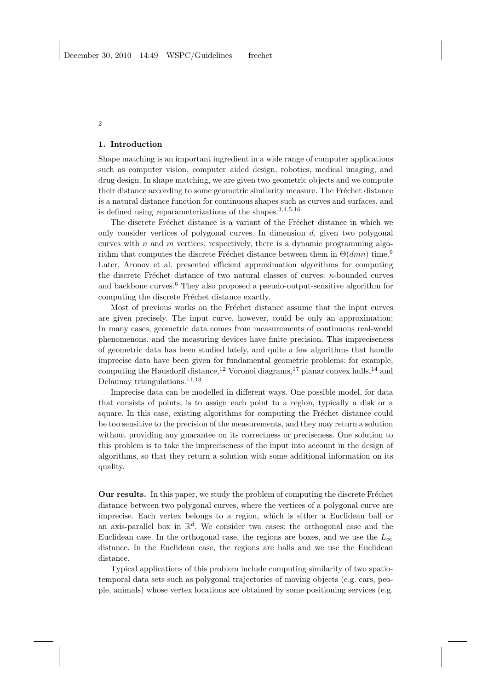### 1. Introduction

Shape matching is an important ingredient in a wide range of computer applications such as computer vision, computer–aided design, robotics, medical imaging, and drug design. In shape matching, we are given two geometric objects and we compute their distance according to some geometric similarity measure. The Fréchet distance is a natural distance function for continuous shapes such as curves and surfaces, and is defined using reparameterizations of the shapes.  $3,4,5,16$ 

The discrete Fréchet distance is a variant of the Fréchet distance in which we only consider vertices of polygonal curves. In dimension d, given two polygonal curves with  $n$  and  $m$  vertices, respectively, there is a dynamic programming algorithm that computes the discrete Fréchet distance between them in  $\Theta(dmn)$  time.<sup>9</sup> Later, Aronov et al. presented efficient approximation algorithms for computing the discrete Fréchet distance of two natural classes of curves:  $\kappa$ -bounded curves and backbone curves.<sup>6</sup> They also proposed a pseudo-output-sensitive algorithm for computing the discrete Fréchet distance exactly.

Most of previous works on the Fréchet distance assume that the input curves are given precisely. The input curve, however, could be only an approximation; In many cases, geometric data comes from measurements of continuous real-world phenomenons, and the measuring devices have finite precision. This impreciseness of geometric data has been studied lately, and quite a few algorithms that handle imprecise data have been given for fundamental geometric problems: for example, computing the Hausdorff distance,<sup>12</sup> Voronoi diagrams,<sup>17</sup> planar convex hulls,<sup>14</sup> and Delaunay triangulations.<sup>11,13</sup>

Imprecise data can be modelled in different ways. One possible model, for data that consists of points, is to assign each point to a region, typically a disk or a square. In this case, existing algorithms for computing the Fréchet distance could be too sensitive to the precision of the measurements, and they may return a solution without providing any guarantee on its correctness or preciseness. One solution to this problem is to take the impreciseness of the input into account in the design of algorithms, so that they return a solution with some additional information on its quality.

Our results. In this paper, we study the problem of computing the discrete Fréchet distance between two polygonal curves, where the vertices of a polygonal curve are imprecise. Each vertex belongs to a region, which is either a Euclidean ball or an axis-parallel box in  $\mathbb{R}^d$ . We consider two cases: the orthogonal case and the Euclidean case. In the orthogonal case, the regions are boxes, and we use the  $L_{\infty}$ distance. In the Euclidean case, the regions are balls and we use the Euclidean distance.

Typical applications of this problem include computing similarity of two spatiotemporal data sets such as polygonal trajectories of moving objects (e.g. cars, people, animals) whose vertex locations are obtained by some positioning services (e.g.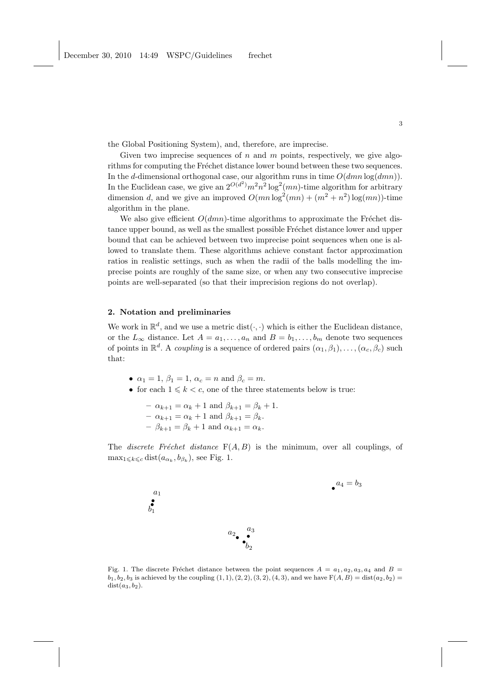the Global Positioning System), and, therefore, are imprecise.

Given two imprecise sequences of  $n$  and  $m$  points, respectively, we give algorithms for computing the Fréchet distance lower bound between these two sequences. In the d-dimensional orthogonal case, our algorithm runs in time  $O(dmn \log (dmn))$ . In the Euclidean case, we give an  $2^{O(d^2)}m^2n^2\log^2(mn)$ -time algorithm for arbitrary dimension d, and we give an improved  $O(mn \log^2(mn) + (m^2 + n^2) \log(mn))$ -time algorithm in the plane.

We also give efficient  $O(dmn)$ -time algorithms to approximate the Fréchet distance upper bound, as well as the smallest possible Fréchet distance lower and upper bound that can be achieved between two imprecise point sequences when one is allowed to translate them. These algorithms achieve constant factor approximation ratios in realistic settings, such as when the radii of the balls modelling the imprecise points are roughly of the same size, or when any two consecutive imprecise points are well-separated (so that their imprecision regions do not overlap).

## 2. Notation and preliminaries

We work in  $\mathbb{R}^d$ , and we use a metric  $dist(\cdot, \cdot)$  which is either the Euclidean distance, or the  $L_{\infty}$  distance. Let  $A = a_1, \ldots, a_n$  and  $B = b_1, \ldots, b_m$  denote two sequences of points in  $\mathbb{R}^d$ . A *coupling* is a sequence of ordered pairs  $(\alpha_1, \beta_1), \ldots, (\alpha_c, \beta_c)$  such that:

- $\alpha_1 = 1, \beta_1 = 1, \alpha_c = n$  and  $\beta_c = m$ .
- for each  $1 \leq k \leq c$ , one of the three statements below is true:

 $-\alpha_{k+1} = \alpha_k + 1$  and  $\beta_{k+1} = \beta_k + 1$ .  $-\alpha_{k+1} = \alpha_k + 1$  and  $\beta_{k+1} = \beta_k$ .  $-\beta_{k+1} = \beta_k + 1$  and  $\alpha_{k+1} = \alpha_k$ .

The *discrete Fréchet distance*  $F(A, B)$  is the minimum, over all couplings, of  $\max_{1 \leq k \leq c} \text{dist}(a_{\alpha_k}, b_{\beta_k}),$  see Fig. 1.



Fig. 1. The discrete Fréchet distance between the point sequences  $A = a_1, a_2, a_3, a_4$  and  $B = a_1, a_2, a_3, a_4$  $b_1, b_2, b_3$  is achieved by the coupling  $(1, 1), (2, 2), (3, 2), (4, 3),$  and we have  $F(A, B) = \text{dist}(a_2, b_2)$  $dist(a_3, b_2).$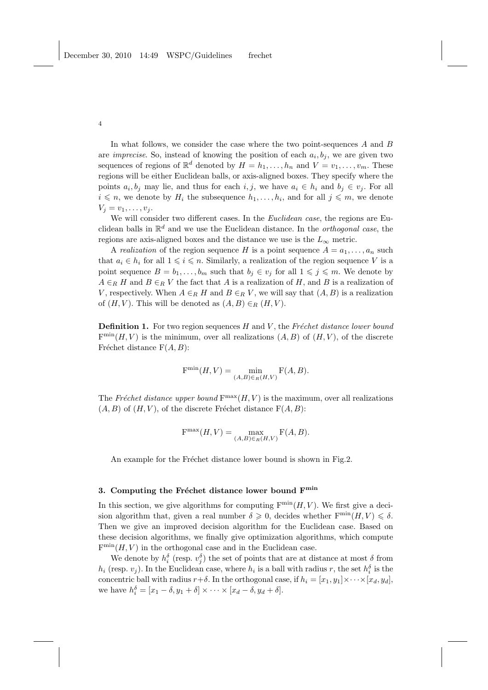In what follows, we consider the case where the two point-sequences A and B are *imprecise*. So, instead of knowing the position of each  $a_i, b_j$ , we are given two sequences of regions of  $\mathbb{R}^d$  denoted by  $H = h_1, \ldots, h_n$  and  $V = v_1, \ldots, v_m$ . These regions will be either Euclidean balls, or axis-aligned boxes. They specify where the points  $a_i, b_j$  may lie, and thus for each  $i, j$ , we have  $a_i \in h_i$  and  $b_j \in v_j$ . For all  $i \leq n$ , we denote by  $H_i$  the subsequence  $h_1, \ldots, h_i$ , and for all  $j \leq m$ , we denote  $V_j = v_1, \ldots, v_j$ .

We will consider two different cases. In the *Euclidean case*, the regions are Euclidean balls in  $\mathbb{R}^d$  and we use the Euclidean distance. In the *orthogonal case*, the regions are axis-aligned boxes and the distance we use is the  $L_{\infty}$  metric.

A realization of the region sequence H is a point sequence  $A = a_1, \ldots, a_n$  such that  $a_i \in h_i$  for all  $1 \leq i \leq n$ . Similarly, a realization of the region sequence V is a point sequence  $B = b_1, \ldots, b_m$  such that  $b_j \in v_j$  for all  $1 \leq j \leq m$ . We denote by  $A \in_R H$  and  $B \in_R V$  the fact that A is a realization of H, and B is a realization of V, respectively. When  $A \in_R H$  and  $B \in_R V$ , we will say that  $(A, B)$  is a realization of  $(H, V)$ . This will be denoted as  $(A, B) \in_R (H, V)$ .

**Definition 1.** For two region sequences  $H$  and  $V$ , the Fréchet distance lower bound  $F^{\min}(H, V)$  is the minimum, over all realizations  $(A, B)$  of  $(H, V)$ , of the discrete Fréchet distance  $F(A, B)$ :

$$
\mathcal{F}^{\min}(H, V) = \min_{(A, B) \in_R(H, V)} \mathcal{F}(A, B).
$$

The Fréchet distance upper bound  $F^{\max}(H, V)$  is the maximum, over all realizations  $(A, B)$  of  $(H, V)$ , of the discrete Fréchet distance  $F(A, B)$ :

$$
\mathbf{F}^{\max}(H,V)=\max_{(A,B)\in_R(H,V)}\mathbf{F}(A,B).
$$

An example for the Fréchet distance lower bound is shown in Fig.2.

### 3. Computing the Fréchet distance lower bound  $F<sup>min</sup>$

In this section, we give algorithms for computing  $F^{\min}(H, V)$ . We first give a decision algorithm that, given a real number  $\delta \geq 0$ , decides whether  $F^{\min}(H, V) \leq \delta$ . Then we give an improved decision algorithm for the Euclidean case. Based on these decision algorithms, we finally give optimization algorithms, which compute  $F^{\min}(H, V)$  in the orthogonal case and in the Euclidean case.

We denote by  $h_i^{\delta}$  (resp.  $v_j^{\delta}$ ) the set of points that are at distance at most  $\delta$  from  $h_i$  (resp.  $v_j$ ). In the Euclidean case, where  $h_i$  is a ball with radius r, the set  $h_i^{\delta}$  is the concentric ball with radius  $r+\delta$ . In the orthogonal case, if  $h_i = [x_1, y_1] \times \cdots \times [x_d, y_d]$ , we have  $h_i^{\delta} = [x_1 - \delta, y_1 + \delta] \times \cdots \times [x_d - \delta, y_d + \delta].$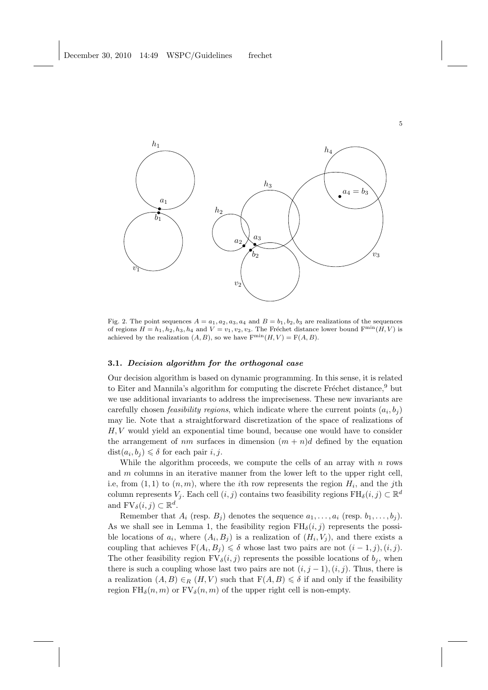

Fig. 2. The point sequences  $A = a_1, a_2, a_3, a_4$  and  $B = b_1, b_2, b_3$  are realizations of the sequences of regions  $H = h_1, h_2, h_3, h_4$  and  $V = v_1, v_2, v_3$ . The Fréchet distance lower bound  $F^{\min}(H, V)$  is achieved by the realization  $(A, B)$ , so we have  $F^{\min}(H, V) = F(A, B)$ .

### 3.1. Decision algorithm for the orthogonal case

Our decision algorithm is based on dynamic programming. In this sense, it is related to Eiter and Mannila's algorithm for computing the discrete Fréchet distance,  $9$  but we use additional invariants to address the impreciseness. These new invariants are carefully chosen *feasibility regions*, which indicate where the current points  $(a_i, b_j)$ may lie. Note that a straightforward discretization of the space of realizations of H, V would yield an exponential time bound, because one would have to consider the arrangement of nm surfaces in dimension  $(m + n)d$  defined by the equation  $dist(a_i, b_j) \leq \delta$  for each pair *i*, *j*.

While the algorithm proceeds, we compute the cells of an array with  $n$  rows and m columns in an iterative manner from the lower left to the upper right cell, i.e, from  $(1,1)$  to  $(n,m)$ , where the *i*th row represents the region  $H_i$ , and the *j*th column represents  $V_j$ . Each cell  $(i, j)$  contains two feasibility regions  $\mathrm{FH}_{\delta}(i, j) \subset \mathbb{R}^d$ and  $\text{FV}_{\delta}(i,j) \subset \mathbb{R}^d$ .

Remember that  $A_i$  (resp.  $B_i$ ) denotes the sequence  $a_1, \ldots, a_i$  (resp.  $b_1, \ldots, b_i$ ). As we shall see in Lemma 1, the feasibility region  $FH_{\delta}(i, j)$  represents the possible locations of  $a_i$ , where  $(A_i, B_j)$  is a realization of  $(H_i, V_j)$ , and there exists a coupling that achieves  $F(A_i, B_j) \le \delta$  whose last two pairs are not  $(i - 1, j), (i, j)$ . The other feasibility region  $FV_{\delta}(i, j)$  represents the possible locations of  $b_j$ , when there is such a coupling whose last two pairs are not  $(i, j - 1), (i, j)$ . Thus, there is a realization  $(A, B) \in_R (H, V)$  such that  $F(A, B) \leq \delta$  if and only if the feasibility region  $FH_{\delta}(n, m)$  or  $FV_{\delta}(n, m)$  of the upper right cell is non-empty.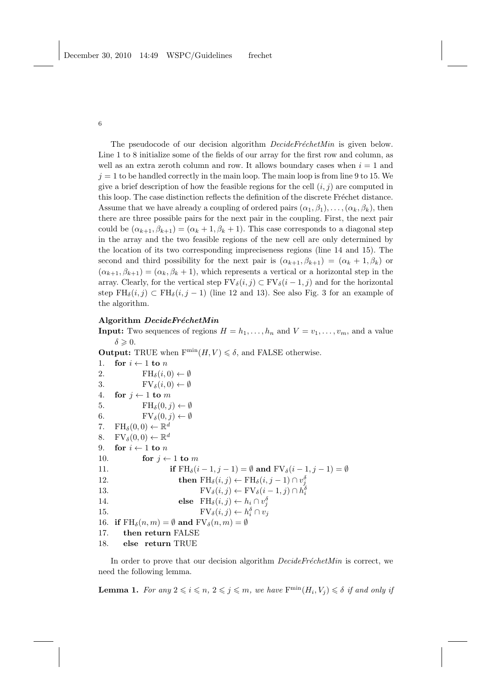The pseudocode of our decision algorithm  $DecideFréchetMin$  is given below. Line 1 to 8 initialize some of the fields of our array for the first row and column, as well as an extra zeroth column and row. It allows boundary cases when  $i = 1$  and  $j = 1$  to be handled correctly in the main loop. The main loop is from line 9 to 15. We give a brief description of how the feasible regions for the cell  $(i, j)$  are computed in this loop. The case distinction reflects the definition of the discrete Fréchet distance. Assume that we have already a coupling of ordered pairs  $(\alpha_1, \beta_1), \ldots, (\alpha_k, \beta_k)$ , then there are three possible pairs for the next pair in the coupling. First, the next pair could be  $(\alpha_{k+1}, \beta_{k+1}) = (\alpha_k + 1, \beta_k + 1)$ . This case corresponds to a diagonal step in the array and the two feasible regions of the new cell are only determined by the location of its two corresponding impreciseness regions (line 14 and 15). The second and third possibility for the next pair is  $(\alpha_{k+1}, \beta_{k+1}) = (\alpha_k + 1, \beta_k)$  or  $(\alpha_{k+1}, \beta_{k+1}) = (\alpha_k, \beta_k + 1)$ , which represents a vertical or a horizontal step in the array. Clearly, for the vertical step  $FV_{\delta}(i, j) \subset FV_{\delta}(i - 1, j)$  and for the horizontal step  $FH_{\delta}(i, j) \subset FH_{\delta}(i, j-1)$  (line 12 and 13). See also Fig. 3 for an example of the algorithm.

# Algorithm DecideFréchetMin

**Input:** Two sequences of regions  $H = h_1, \ldots, h_n$  and  $V = v_1, \ldots, v_m$ , and a value  $\delta \geqslant 0.$ 

**Output:** TRUE when  $F^{\min}(H, V) \le \delta$ , and FALSE otherwise.

1. for  $i \leftarrow 1$  to n<br>2. FH<sub>s</sub> $(i)$ . 2. FH<sub> $\delta$ </sub> $(i, 0) \leftarrow \emptyset$ <br>3. FV $_{\delta}$  $(i, 0) \leftarrow \emptyset$ 3.  $\text{FV}_\delta(i,0) \leftarrow \emptyset$ <br>4. for  $i \leftarrow 1$  to m 4. for  $j \leftarrow 1$  to m<br>5. FH<sub> $\delta$ </sub>(0, i 5. FH<sub> $\delta$ </sub> $(0, j) \leftarrow \emptyset$ <br>6. FV $_{\delta}$  $(0, j) \leftarrow \emptyset$ 6.  $\text{FV}_{\delta}(0, j) \leftarrow \emptyset$ <br>7.  $\text{FH}_{\delta}(0, 0) \leftarrow \mathbb{R}^{d}$ 7.  $FH_{\delta}(0,0) \leftarrow \mathbb{R}^{d}$ 8.  $\mathbf{F} \mathbf{V}_{\delta}(0,0) \leftarrow \mathbb{R}^d$ 9. for  $i \leftarrow 1$  to n 10. for  $j \leftarrow 1$  to m<br>11. if  $FH_{\delta}(i)$ 11. if FH<sub> $\delta$ </sub> $(i - 1, j - 1) = \emptyset$  and FV $_{\delta}$  $(i - 1, j - 1) = \emptyset$ <br>12. then FH $_{\delta}$  $(i, j) \leftarrow$  FH $_{\delta}$  $(i, j - 1) \cap v_{\delta}^{\delta}$ 12. **then**  $FH_{\delta}(i, j) \leftarrow FH_{\delta}(i, j - 1) \cap v_j^{\delta}$ 13.  $\text{FV}_{\delta}(i,j) \leftarrow \text{FV}_{\delta}(i-1,j) \cap h_i^{\delta}$ 14. **else** FH<sub> $\delta$ </sub> $(i, j) \leftarrow h_i \cap v_j^{\delta}$ 15.  $\text{FV}_{\delta}(i,j) \leftarrow h_i^{\delta} \cap v_j$ 16. if  $FH_{\delta}(n, m) = \emptyset$  and  $FV_{\delta}(n, m) = \emptyset$ <br>17. then return FALSE then return FALSE 18. else return TRUE

In order to prove that our decision algorithm  $DecideFréchetMin$  is correct, we need the following lemma.

**Lemma 1.** For any  $2 \leq i \leq n$ ,  $2 \leq j \leq m$ , we have  $F^{\min}(H_i, V_j) \leq \delta$  if and only if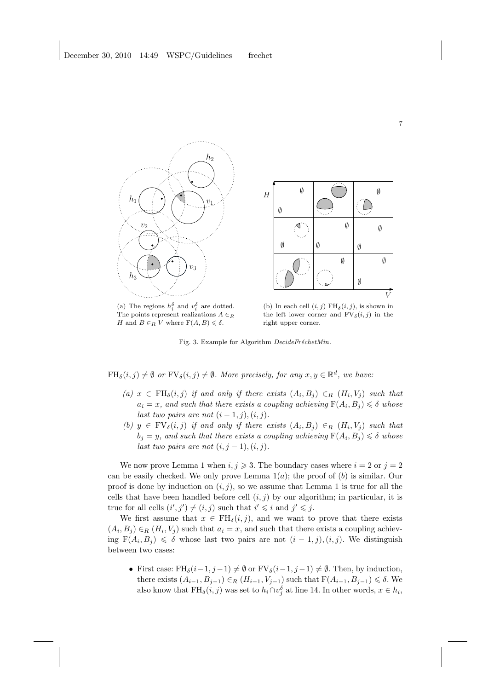$h_1$ 

 $v$ 

 $h_3$ 



(a) The regions  $h_i^{\delta}$  and  $v_i^{\delta}$  are dotted. The points represent realizations  $A \in_R$ H and  $B \in_R V$  where  $F(A, B) \le \delta$ .

 $v_3$ 

 $h_2$ 

 $\overline{v}_1$ 

(b) In each cell  $(i, j)$  FH $_{\delta}(i, j)$ , is shown in the left lower corner and  $FV_{\delta}(i, j)$  in the right upper corner.

Fig. 3. Example for Algorithm DecideFréchetMin.

 $FH_{\delta}(i, j) \neq \emptyset$  or  $FV_{\delta}(i, j) \neq \emptyset$ . More precisely, for any  $x, y \in \mathbb{R}^{d}$ , we have:

- (a)  $x \in FH_\delta(i,j)$  if and only if there exists  $(A_i, B_j) \in_R (H_i, V_j)$  such that  $a_i = x$ , and such that there exists a coupling achieving  $F(A_i, B_j) \leqslant \delta$  whose last two pairs are not  $(i-1, j), (i, j)$ .
- (b)  $y \in \text{FV}_{\delta}(i,j)$  if and only if there exists  $(A_i, B_j) \in_R (H_i, V_j)$  such that  $b_j = y$ , and such that there exists a coupling achieving  $F(A_i, B_j) \leq \delta$  whose last two pairs are not  $(i, j - 1), (i, j)$ .

We now prove Lemma 1 when  $i, j \geqslant 3$ . The boundary cases where  $i = 2$  or  $j = 2$ can be easily checked. We only prove Lemma  $1(a)$ ; the proof of  $(b)$  is similar. Our proof is done by induction on  $(i, j)$ , so we assume that Lemma 1 is true for all the cells that have been handled before cell  $(i, j)$  by our algorithm; in particular, it is true for all cells  $(i', j') \neq (i, j)$  such that  $i' \leq i$  and  $j' \leq j$ .

We first assume that  $x \in FH_{\delta}(i, j)$ , and we want to prove that there exists  $(A_i, B_j) \in_R (H_i, V_j)$  such that  $a_i = x$ , and such that there exists a coupling achieving  $F(A_i, B_j) \le \delta$  whose last two pairs are not  $(i - 1, j), (i, j)$ . We distinguish between two cases:

• First case:  $FH_{\delta}(i-1, j-1) \neq \emptyset$  or  $FV_{\delta}(i-1, j-1) \neq \emptyset$ . Then, by induction, there exists  $(A_{i-1}, B_{j-1}) \in_R (H_{i-1}, V_{j-1})$  such that  $F(A_{i-1}, B_{j-1}) \le \delta$ . We also know that  $FH_{\delta}(i, j)$  was set to  $h_i \cap v_j^{\delta}$  at line 14. In other words,  $x \in h_i$ ,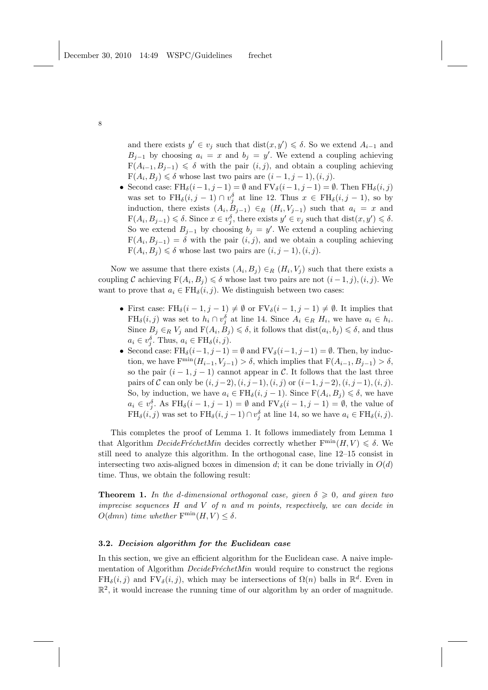and there exists  $y' \in v_j$  such that  $dist(x, y') \leq \delta$ . So we extend  $A_{i-1}$  and  $B_{j-1}$  by choosing  $a_i = x$  and  $b_j = y'$ . We extend a coupling achieving  $F(A_{i-1}, B_{j-1}) \leq \delta$  with the pair  $(i, j)$ , and obtain a coupling achieving  $F(A_i, B_j) \le \delta$  whose last two pairs are  $(i - 1, j - 1), (i, j)$ .

• Second case:  $FH_{\delta}(i-1, j-1) = \emptyset$  and  $FV_{\delta}(i-1, j-1) = \emptyset$ . Then  $FH_{\delta}(i, j)$ was set to  $FH_{\delta}(i, j-1) \cap v_j^{\delta}$  at line 12. Thus  $x \in FH_{\delta}(i, j-1)$ , so by induction, there exists  $(A_i, B_{j-1}) \in_R (H_i, V_{j-1})$  such that  $a_i = x$  and  $F(A_i, B_{j-1}) \leq \delta$ . Since  $x \in v_j^{\delta}$ , there exists  $y' \in v_j$  such that  $dist(x, y') \leq \delta$ . So we extend  $B_{j-1}$  by choosing  $b_j = y'$ . We extend a coupling achieving  $F(A_i, B_{j-1}) = \delta$  with the pair  $(i, j)$ , and we obtain a coupling achieving  $F(A_i, B_j) \le \delta$  whose last two pairs are  $(i, j - 1), (i, j)$ .

Now we assume that there exists  $(A_i, B_j) \in_R (H_i, V_j)$  such that there exists a coupling C achieving  $F(A_i, B_j) \le \delta$  whose last two pairs are not  $(i - 1, j), (i, j)$ . We want to prove that  $a_i \in FH_\delta(i, j)$ . We distinguish between two cases:

- First case:  $FH_{\delta}(i-1, j-1) \neq \emptyset$  or  $FV_{\delta}(i-1, j-1) \neq \emptyset$ . It implies that  $FH_{\delta}(i, j)$  was set to  $h_i \cap v_j^{\delta}$  at line 14. Since  $A_i \in_R H_i$ , we have  $a_i \in h_i$ . Since  $B_j \in_R V_j$  and  $F(A_i, B_j) \leq \delta$ , it follows that  $dist(a_i, b_j) \leq \delta$ , and thus  $a_i \in v_j^{\delta}$ . Thus,  $a_i \in \text{FH}_{\delta}(i, j)$ .
- Second case:  $FH_{\delta}(i-1, j-1) = \emptyset$  and  $FV_{\delta}(i-1, j-1) = \emptyset$ . Then, by induction, we have  $F^{\min}(H_{i-1}, V_{j-1}) > \delta$ , which implies that  $F(A_{i-1}, B_{j-1}) > \delta$ , so the pair  $(i - 1, j - 1)$  cannot appear in C. It follows that the last three pairs of C can only be  $(i, j-2), (i, j-1), (i, j)$  or  $(i-1, j-2), (i, j-1), (i, j)$ . So, by induction, we have  $a_i \in FH_\delta(i, j-1)$ . Since  $F(A_i, B_j) \leq \delta$ , we have  $a_i \in v_j^{\delta}$ . As  $FH_{\delta}(i-1, j-1) = \emptyset$  and  $FV_{\delta}(i-1, j-1) = \emptyset$ , the value of  $FH_{\delta}(i, j)$  was set to  $FH_{\delta}(i, j-1) \cap v_j^{\delta}$  at line 14, so we have  $a_i \in FH_{\delta}(i, j)$ .

This completes the proof of Lemma 1. It follows immediately from Lemma 1 that Algorithm DecideFréchetMin decides correctly whether  $F^{\min}(H, V) \leq \delta$ . We still need to analyze this algorithm. In the orthogonal case, line 12–15 consist in intersecting two axis-aligned boxes in dimension d; it can be done trivially in  $O(d)$ time. Thus, we obtain the following result:

**Theorem 1.** In the d-dimensional orthogonal case, given  $\delta \geq 0$ , and given two imprecise sequences  $H$  and  $V$  of  $n$  and  $m$  points, respectively, we can decide in  $O(dmn)$  time whether  $F^{\min}(H, V) \leq \delta$ .

## 3.2. Decision algorithm for the Euclidean case

In this section, we give an efficient algorithm for the Euclidean case. A naive implementation of Algorithm  $DecideFréchetMin$  would require to construct the regions  $FH_{\delta}(i, j)$  and  $FV_{\delta}(i, j)$ , which may be intersections of  $\Omega(n)$  balls in  $\mathbb{R}^{d}$ . Even in  $\mathbb{R}^2$ , it would increase the running time of our algorithm by an order of magnitude.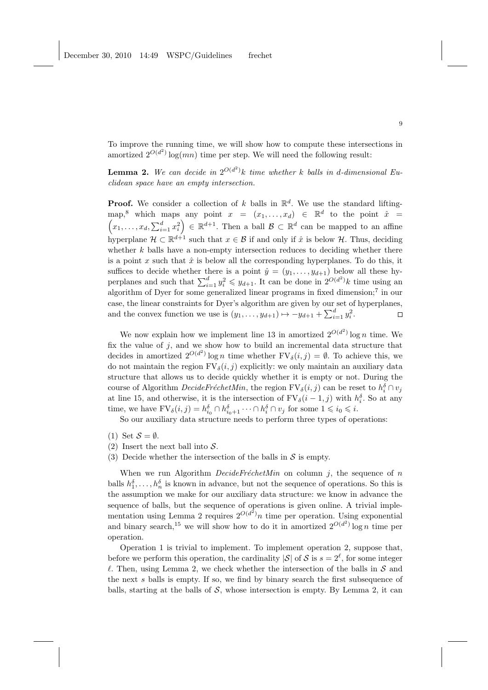To improve the running time, we will show how to compute these intersections in amortized  $2^{O(d^2)} \log(mn)$  time per step. We will need the following result:

**Lemma 2.** We can decide in  $2^{O(d^2)}k$  time whether k balls in d-dimensional Euclidean space have an empty intersection.

**Proof.** We consider a collection of k balls in  $\mathbb{R}^d$ . We use the standard lifting- $\text{map},^8$  which maps any point  $x = (x_1, \ldots, x_d) \in \mathbb{R}^d$  to the point  $\hat{x} = (x_1, \ldots, x_d)$  $(x_1,\ldots,x_d,\sum_{i=1}^d x_i^2) \in \mathbb{R}^{d+1}$ . Then a ball  $\mathcal{B} \subset \mathbb{R}^d$  can be mapped to an affine hyperplane  $\mathcal{H} \subset \mathbb{R}^{d+1}$  such that  $x \in \mathcal{B}$  if and only if  $\hat{x}$  is below  $\mathcal{H}$ . Thus, deciding whether  $k$  balls have a non-empty intersection reduces to deciding whether there is a point x such that  $\hat{x}$  is below all the corresponding hyperplanes. To do this, it suffices to decide whether there is a point  $\hat{y} = (y_1, \ldots, y_{d+1})$  below all these hyperplanes and such that  $\sum_{i=1}^d y_i^2 \leqslant y_{d+1}$ . It can be done in  $2^{O(d^2)}k$  time using an algorithm of Dyer for some generalized linear programs in fixed dimension;<sup>7</sup> in our case, the linear constraints for Dyer's algorithm are given by our set of hyperplanes, and the convex function we use is  $(y_1, \ldots, y_{d+1}) \mapsto -y_{d+1} + \sum_{i=1}^d y_i^2$ .  $\Box$ 

We now explain how we implement line 13 in amortized  $2^{O(d^2)} \log n$  time. We fix the value of  $j$ , and we show how to build an incremental data structure that decides in amortized  $2^{O(d^2)} \log n$  time whether  $FV_\delta(i,j) = \emptyset$ . To achieve this, we do not maintain the region  $FV_{\delta}(i, j)$  explicitly: we only maintain an auxiliary data structure that allows us to decide quickly whether it is empty or not. During the course of Algorithm  $DecideFréchetMin$ , the region  $FV_{\delta}(i, j)$  can be reset to  $h_i^{\delta} \cap v_j$ at line 15, and otherwise, it is the intersection of  $FV_{\delta}(i-1, j)$  with  $h_i^{\delta}$ . So at any time, we have  $\text{FV}_{\delta}(i,j) = h_{i_0}^{\delta} \cap h_{i_0+1}^{\delta} \cdots \cap h_{i}^{\delta} \cap v_j$  for some  $1 \leq i_0 \leq i$ .

So our auxiliary data structure needs to perform three types of operations:

- (1) Set  $S = \emptyset$ .
- (2) Insert the next ball into  $S$ .
- (3) Decide whether the intersection of the balls in  $S$  is empty.

When we run Algorithm  $DecideFréchetMin$  on column j, the sequence of n balls  $h_1^{\delta}, \ldots, h_n^{\delta}$  is known in advance, but not the sequence of operations. So this is the assumption we make for our auxiliary data structure: we know in advance the sequence of balls, but the sequence of operations is given online. A trivial implementation using Lemma 2 requires  $2^{O(d^2)}n$  time per operation. Using exponential and binary search,<sup>15</sup> we will show how to do it in amortized  $2^{O(d^2)}$  log *n* time per operation.

Operation 1 is trivial to implement. To implement operation 2, suppose that, before we perform this operation, the cardinality  $|S|$  of S is  $s = 2^{\ell}$ , for some integer  $\ell$ . Then, using Lemma 2, we check whether the intersection of the balls in S and the next  $s$  balls is empty. If so, we find by binary search the first subsequence of balls, starting at the balls of  $S$ , whose intersection is empty. By Lemma 2, it can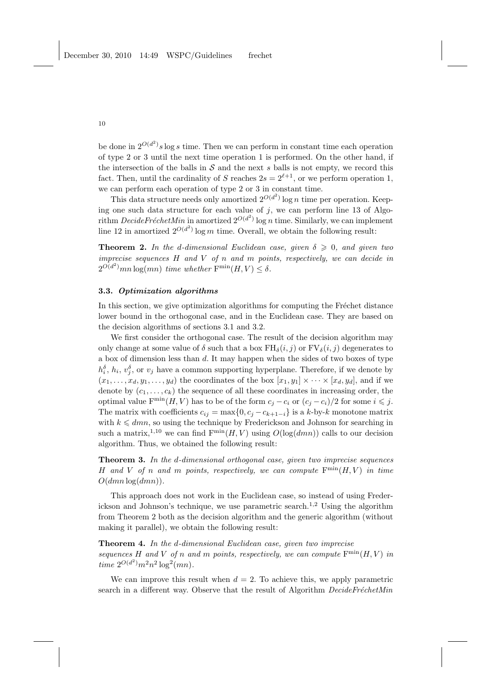be done in  $2^{O(d^2)} s \log s$  time. Then we can perform in constant time each operation of type 2 or 3 until the next time operation 1 is performed. On the other hand, if the intersection of the balls in  $\mathcal S$  and the next s balls is not empty, we record this fact. Then, until the cardinality of S reaches  $2s = 2^{\ell+1}$ , or we perform operation 1, we can perform each operation of type 2 or 3 in constant time.

This data structure needs only amortized  $2^{O(d^2)}$  log n time per operation. Keeping one such data structure for each value of  $j$ , we can perform line 13 of Algorithm  $DecideFréchetMin$  in amortized  $2^{O(d^2)}$  log n time. Similarly, we can implement line 12 in amortized  $2^{O(d^2)}$  log m time. Overall, we obtain the following result:

**Theorem 2.** In the d-dimensional Euclidean case, given  $\delta \geq 0$ , and given two imprecise sequences  $H$  and  $V$  of  $n$  and  $m$  points, respectively, we can decide in  $2^{O(d^2)}$ mn log(mn) time whether  $F^{\min}(H, V) \le \delta$ .

### 3.3. Optimization algorithms

In this section, we give optimization algorithms for computing the Fréchet distance lower bound in the orthogonal case, and in the Euclidean case. They are based on the decision algorithms of sections 3.1 and 3.2.

We first consider the orthogonal case. The result of the decision algorithm may only change at some value of  $\delta$  such that a box  $FH_{\delta}(i, j)$  or  $FV_{\delta}(i, j)$  degenerates to a box of dimension less than d. It may happen when the sides of two boxes of type  $h_i^{\delta}, h_i, v_j^{\delta}$ , or  $v_j$  have a common supporting hyperplane. Therefore, if we denote by  $(x_1, \ldots, x_d, y_1, \ldots, y_d)$  the coordinates of the box  $[x_1, y_1] \times \cdots \times [x_d, y_d]$ , and if we denote by  $(c_1, \ldots, c_k)$  the sequence of all these coordinates in increasing order, the optimal value  $F^{\min}(H, V)$  has to be of the form  $c_j - c_i$  or  $(c_j - c_i)/2$  for some  $i \leq j$ . The matrix with coefficients  $c_{ij} = \max\{0, c_j - c_{k+1-i}\}\$ is a k-by-k monotone matrix with  $k \leq dmn$ , so using the technique by Frederickson and Johnson for searching in such a matrix,<sup>1,10</sup> we can find  $F^{\min}(H, V)$  using  $O(log(dmn))$  calls to our decision algorithm. Thus, we obtained the following result:

Theorem 3. In the d-dimensional orthogonal case, given two imprecise sequences H and V of n and m points, respectively, we can compute  $F^{\min}(H, V)$  in time  $O(dmn \log (dmn)).$ 

This approach does not work in the Euclidean case, so instead of using Frederickson and Johnson's technique, we use parametric search.<sup>1,2</sup> Using the algorithm from Theorem 2 both as the decision algorithm and the generic algorithm (without making it parallel), we obtain the following result:

Theorem 4. In the d-dimensional Euclidean case, given two imprecise sequences H and V of n and m points, respectively, we can compute  $F^{\min}(H, V)$  in time  $2^{O(d^2)}m^2n^2\log^2(mn)$ .

We can improve this result when  $d = 2$ . To achieve this, we apply parametric search in a different way. Observe that the result of Algorithm DecideFréchetMin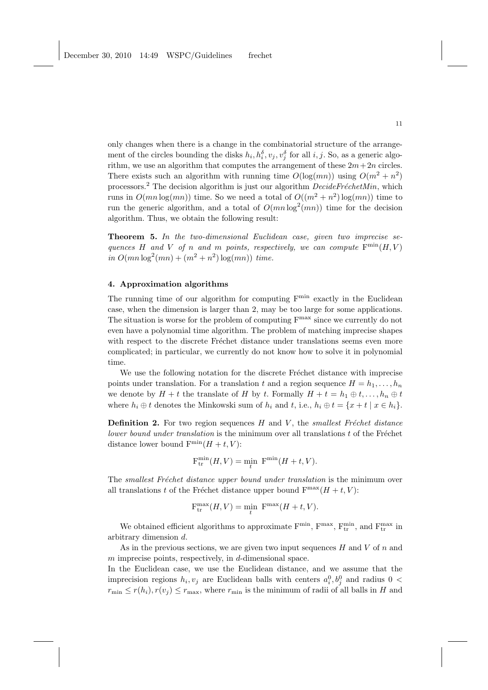only changes when there is a change in the combinatorial structure of the arrangement of the circles bounding the disks  $h_i, h_i^{\delta}, v_j, v_j^{\delta}$  for all  $i, j$ . So, as a generic algorithm, we use an algorithm that computes the arrangement of these  $2m + 2n$  circles. There exists such an algorithm with running time  $O(log(mn))$  using  $O(m^2 + n^2)$ processors.<sup>2</sup> The decision algorithm is just our algorithm  $DecideFréchetMin$ , which runs in  $O(mn \log(mn))$  time. So we need a total of  $O((m^2 + n^2) \log(mn))$  time to run the generic algorithm, and a total of  $O(mn \log^2(mn))$  time for the decision algorithm. Thus, we obtain the following result:

Theorem 5. In the two-dimensional Euclidean case, given two imprecise sequences H and V of n and m points, respectively, we can compute  $F^{\min}(H, V)$ in  $O(mn \log^2(mn) + (m^2 + n^2) \log(mn))$  time.

# 4. Approximation algorithms

The running time of our algorithm for computing  $F^{\min}$  exactly in the Euclidean case, when the dimension is larger than 2, may be too large for some applications. The situation is worse for the problem of computing Fmax since we currently do not even have a polynomial time algorithm. The problem of matching imprecise shapes with respect to the discrete Fréchet distance under translations seems even more complicated; in particular, we currently do not know how to solve it in polynomial time.

We use the following notation for the discrete Fréchet distance with imprecise points under translation. For a translation t and a region sequence  $H = h_1, \ldots, h_n$ we denote by  $H + t$  the translate of H by t. Formally  $H + t = h_1 \oplus t, \ldots, h_n \oplus t$ where  $h_i \oplus t$  denotes the Minkowski sum of  $h_i$  and t, i.e.,  $h_i \oplus t = \{x + t \mid x \in h_i\}$ .

**Definition 2.** For two region sequences  $H$  and  $V$ , the *smallest Fréchet distance* lower bound under translation is the minimum over all translations  $t$  of the Fréchet distance lower bound  $F^{\min}(H + t, V)$ :

$$
\mathbf{F}^{\min}_{\text{tr}}(H,V)=\min_{t} \ \mathbf{F}^{\min}(H+t,V).
$$

The smallest Fréchet distance upper bound under translation is the minimum over all translations t of the Fréchet distance upper bound  $F^{\max}(H + t, V)$ :

$$
\mathcal{F}_{\text{tr}}^{\text{max}}(H, V) = \min_{t} \ \mathcal{F}^{\text{max}}(H + t, V).
$$

We obtained efficient algorithms to approximate  $F^{\min},\,F^{\max},\,F^{\min}_{tr},\,$  and  $F^{\max}_{tr}$  in arbitrary dimension d.

As in the previous sections, we are given two input sequences  $H$  and  $V$  of  $n$  and  $m$  imprecise points, respectively, in  $d$ -dimensional space.

In the Euclidean case, we use the Euclidean distance, and we assume that the imprecision regions  $h_i, v_j$  are Euclidean balls with centers  $a_i^0, b_j^0$  and radius  $0 <$  $r_{\min} \leq r(h_i), r(v_j) \leq r_{\max}$ , where  $r_{\min}$  is the minimum of radii of all balls in H and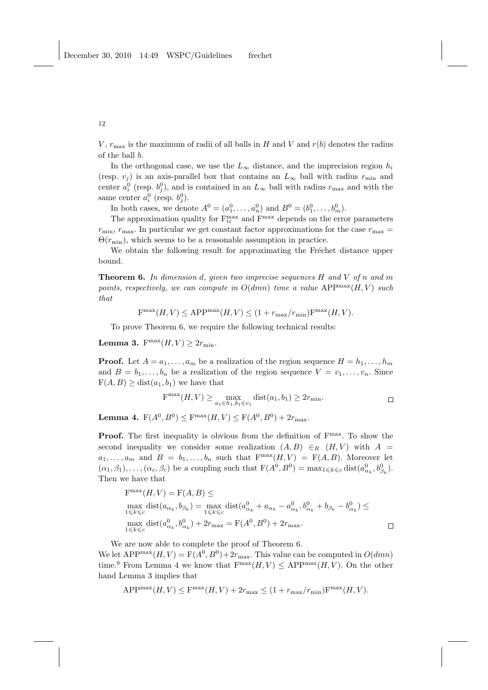$V, r_{\text{max}}$  is the maximum of radii of all balls in H and V and  $r(b)$  denotes the radius of the ball b.

In the orthogonal case, we use the  $L_{\infty}$  distance, and the imprecision region  $h_i$ (resp.  $v_i$ ) is an axis-parallel box that contains an  $L_{\infty}$  ball with radius  $r_{\min}$  and center  $a_i^0$  (resp.  $b_j^0$ ), and is contained in an  $L_{\infty}$  ball with radius  $r_{\text{max}}$  and with the same center  $a_i^0$  (resp.  $b_j^0$ ).

In both cases, we denote  $A^0 = (a_1^0, ..., a_n^0)$  and  $B^0 = (b_1^0, ..., b_m^0)$ .

The approximation quality for  $\mathcal{F}_{\mathrm{tr}}^{\mathrm{max}}$  and  $\mathcal{F}^{\mathrm{max}}$  depends on the error parameters  $r_{\text{min}}$ ,  $r_{\text{max}}$ . In particular we get constant factor approximations for the case  $r_{\text{max}} =$  $\Theta(r_{\min})$ , which seems to be a reasonable assumption in practice.

We obtain the following result for approximating the Fréchet distance upper bound.

**Theorem 6.** In dimension d, given two imprecise sequences H and V of n and m points, respectively, we can compute in  $O(dmn)$  time a value APP<sup>max</sup> $(H, V)$  such that

 $F^{\max}(H, V) \leq \text{APP}^{\max}(H, V) \leq (1 + r_{\max}/r_{\min})F^{\max}(H, V).$ 

To prove Theorem 6, we require the following technical results:

**Lemma 3.**  $F^{\max}(H, V) \geq 2r_{\min}$ .

**Proof.** Let  $A = a_1, \ldots, a_m$  be a realization of the region sequence  $H = h_1, \ldots, h_m$ and  $B = b_1, \ldots, b_n$  be a realization of the region sequence  $V = v_1, \ldots, v_n$ . Since  $F(A, B) > dist(a_1, b_1)$  we have that

$$
\mathcal{F}^{\max}(H, V) \ge \max_{a_1 \in h_1, b_1 \in v_1} \text{dist}(a_1, b_1) \ge 2r_{\min}.
$$

**Lemma 4.**  $F(A^0, B^0) \le F^{\max}(H, V) \le F(A^0, B^0) + 2r_{\max}$ .

Proof. The first inequality is obvious from the definition of  $F<sup>max</sup>$ . To show the second inequality we consider some realization  $(A, B) \in_R (H, V)$  with  $A =$  $a_1, \ldots, a_m$  and  $B = b_1, \ldots, b_n$  such that  $F^{\max}(H, V) = F(A, B)$ . Moreover let  $(\alpha_1, \beta_1), \ldots, (\alpha_c, \beta_c)$  be a coupling such that  $F(A^0, B^0) = \max_{1 \leq k \leq c} \text{dist}(a_{\alpha_k}^0, b_{\beta_k}^0)$ . Then we have that

$$
\begin{aligned} &\mathbf{F}^{\max}(H,V) = \mathbf{F}(A,B) \leq \\ &\max_{1 \leq k \leq c} \text{dist}(a_{\alpha_k}, b_{\beta_k}) = \max_{1 \leq k \leq c} \text{dist}(a_{\alpha_k}^0 + a_{\alpha_k} - a_{\alpha_k}^0, b_{\alpha_k}^0 + b_{\beta_k} - b_{\alpha_k}^0) \leq \\ &\max_{1 \leq k \leq c} \text{dist}(a_{\alpha_k}^0, b_{\alpha_k}^0) + 2r_{\max} = \mathbf{F}(A^0, B^0) + 2r_{\max}. \end{aligned}
$$

We are now able to complete the proof of Theorem 6.

We let APP<sup>max</sup> $(H, V) = F(A^0, B^0) + 2r_{\text{max}}$ . This value can be computed in  $O(dmn)$ time.<sup>9</sup> From Lemma 4 we know that  $F^{\max}(H, V) \leq \text{APP}^{\max}(H, V)$ . On the other hand Lemma 3 implies that

$$
APPmax(H, V) \leq Fmax(H, V) + 2rmax \leq (1 + rmax/rmin)Fmax(H, V).
$$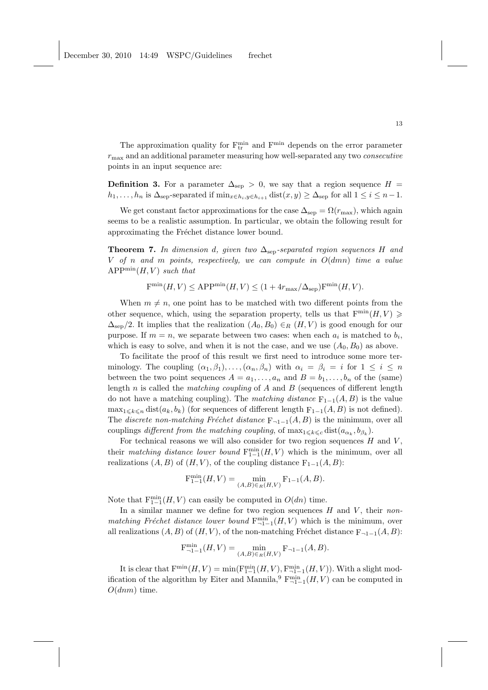The approximation quality for  $F_{tr}^{min}$  and  $F_{cm}^{min}$  depends on the error parameter  $r_{\text{max}}$  and an additional parameter measuring how well-separated any two *consecutive* points in an input sequence are:

**Definition 3.** For a parameter  $\Delta_{\text{sep}} > 0$ , we say that a region sequence  $H =$  $h_1, \ldots, h_n$  is  $\Delta_{\text{sep}}$ -separated if  $\min_{x \in h_i, y \in h_{i+1}} \text{dist}(x, y) \geq \Delta_{\text{sep}}$  for all  $1 \leq i \leq n-1$ .

We get constant factor approximations for the case  $\Delta_{\rm sep} = \Omega(r_{\rm max})$ , which again seems to be a realistic assumption. In particular, we obtain the following result for approximating the Fréchet distance lower bound.

**Theorem 7.** In dimension d, given two  $\Delta_{\text{sep}}$ -separated region sequences H and V of n and m points, respectively, we can compute in  $O(dmn)$  time a value  $APP^{\min}(H, V)$  such that

 $F^{\min}(H, V) \leq \text{APP}^{\min}(H, V) \leq (1 + 4r_{\max}/\Delta_{\text{sep}}) F^{\min}(H, V).$ 

When  $m \neq n$ , one point has to be matched with two different points from the other sequence, which, using the separation property, tells us that  $F^{\min}(H, V) \geq$  $\Delta_{\rm sep}/2$ . It implies that the realization  $(A_0, B_0) \in_R (H, V)$  is good enough for our purpose. If  $m = n$ , we separate between two cases: when each  $a_i$  is matched to  $b_i$ , which is easy to solve, and when it is not the case, and we use  $(A_0, B_0)$  as above.

To facilitate the proof of this result we first need to introduce some more terminology. The coupling  $(\alpha_1, \beta_1), \ldots, (\alpha_n, \beta_n)$  with  $\alpha_i = \beta_i = i$  for  $1 \leq i \leq n$ between the two point sequences  $A = a_1, \ldots, a_n$  and  $B = b_1, \ldots, b_n$  of the (same) length n is called the matching coupling of A and B (sequences of different length do not have a matching coupling). The matching distance  $F_{1-1}(A, B)$  is the value  $\max_{1\leq k\leq n} \text{dist}(a_k, b_k)$  (for sequences of different length  $F_{1-1}(A, B)$  is not defined). The discrete non-matching Fréchet distance  $F_{\neg 1-1}(A, B)$  is the minimum, over all couplings different from the matching coupling, of  $\max_{1 \leq k \leq c} \text{dist}(a_{\alpha_k}, b_{\beta_k}).$ 

For technical reasons we will also consider for two region sequences  $H$  and  $V$ , their matching distance lower bound  $\mathbb{F}_{1-1}^{\min}(H, V)$  which is the minimum, over all realizations  $(A, B)$  of  $(H, V)$ , of the coupling distance  $F_{1-1}(A, B)$ :

$$
\mathcal{F}_{1-1}^{\min}(H, V) = \min_{(A, B) \in_R(H, V)} \mathcal{F}_{1-1}(A, B).
$$

Note that  $\mathbb{F}_{1-1}^{\min}(H, V)$  can easily be computed in  $O(dn)$  time.

In a similar manner we define for two region sequences  $H$  and  $V$ , their nonmatching Fréchet distance lower bound  $F_{\neg 1-1}^{\min}(H, V)$  which is the minimum, over all realizations  $(A, B)$  of  $(H, V)$ , of the non-matching Fréchet distance  $F_{\neg 1-1}(A, B)$ :

$$
\mathcal{F}^{\min}_{\neg 1-1}(H,V)=\min_{(A,B)\in_R(H,V)}\mathcal{F}_{\neg 1-1}(A,B).
$$

It is clear that  $F^{\min}(H, V) = \min(F^{\min}_{1-1}(H, V), F^{\min}_{-1-1}(H, V))$ . With a slight modification of the algorithm by Eiter and Mannila,  $P_{\neg 1-1}^{\text{min}}(H, V)$  can be computed in  $O(dnm)$  time.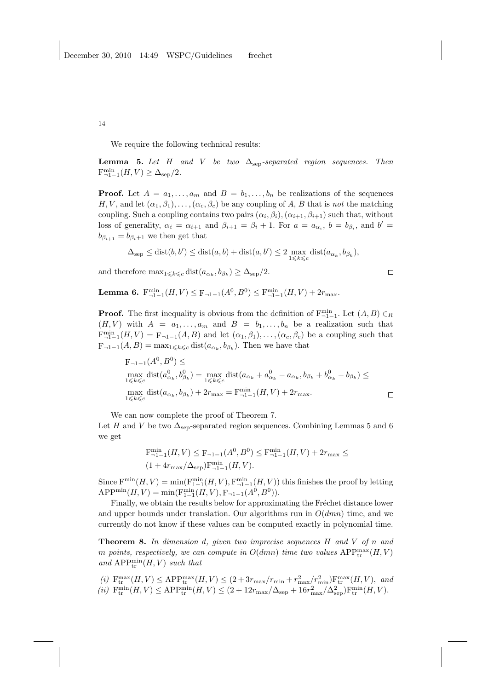We require the following technical results:

**Lemma 5.** Let H and V be two  $\Delta_{\text{sep}}$ -separated region sequences. Then  $\mathrm{F}_{\neg 1-1}^{\min}(H, V) \geq \Delta_{\mathrm{sep}}/2.$ 

**Proof.** Let  $A = a_1, \ldots, a_m$  and  $B = b_1, \ldots, b_n$  be realizations of the sequences H, V, and let  $(\alpha_1, \beta_1), \ldots, (\alpha_c, \beta_c)$  be any coupling of A, B that is not the matching coupling. Such a coupling contains two pairs  $(\alpha_i, \beta_i), (\alpha_{i+1}, \beta_{i+1})$  such that, without loss of generality,  $\alpha_i = \alpha_{i+1}$  and  $\beta_{i+1} = \beta_i + 1$ . For  $a = a_{\alpha_i}$ ,  $b = b_{\beta_i}$ , and  $b' =$  $b_{\beta_{i+1}} = b_{\beta_i+1}$  we then get that

$$
\Delta_{\text{sep}} \leq \text{dist}(b, b') \leq \text{dist}(a, b) + \text{dist}(a, b') \leq 2 \max_{1 \leq k \leq c} \text{dist}(a_{\alpha_k}, b_{\beta_k}),
$$

and therefore  $\max_{1 \leq k \leq c} \text{dist}(a_{\alpha_k}, b_{\beta_k}) \geq \Delta_{\text{sep}}/2$ .

Lemma 6.  $F_{\neg 1-1}^{\text{min}}(H, V) \leq F_{\neg 1-1}(A^0, B^0) \leq F_{\neg 1-1}^{\text{min}}(H, V) + 2r_{\text{max}}.$ 

**Proof.** The first inequality is obvious from the definition of  $F_{\neg 1-1}^{\text{min}}$ . Let  $(A, B) \in_R$  $(H, V)$  with  $A = a_1, \ldots, a_m$  and  $B = b_1, \ldots, b_n$  be a realization such that  $F_{\neg 1-1}^{\text{min}}(H,V) = F_{\neg 1-1}(A,B)$  and let  $(\alpha_1,\beta_1),\ldots,(\alpha_c,\beta_c)$  be a coupling such that  $F_{\neg 1-1}(A, B) = \max_{1 \leq k \leq c} \text{dist}(a_{\alpha_k}, b_{\beta_k}).$  Then we have that

$$
\mathcal{F}_{\neg 1-1}(A^0, B^0) \le
$$
  
\n
$$
\max_{1 \le k \le c} \text{dist}(a_{\alpha_k}^0, b_{\beta_k}^0) = \max_{1 \le k \le c} \text{dist}(a_{\alpha_k} + a_{\alpha_k}^0 - a_{\alpha_k}, b_{\beta_k} + b_{\alpha_k}^0 - b_{\beta_k}) \le
$$
  
\n
$$
\max_{1 \le k \le c} \text{dist}(a_{\alpha_k}, b_{\beta_k}) + 2r_{\text{max}} = \mathcal{F}_{\neg 1-1}^{\text{min}}(H, V) + 2r_{\text{max}}.
$$

We can now complete the proof of Theorem 7.

Let H and V be two  $\Delta_{\rm sep}$ -separated region sequences. Combining Lemmas 5 and 6 we get

$$
\mathcal{F}^{\min}_{\neg 1-1}(H, V) \leq \mathcal{F}_{\neg 1-1}(A^0, B^0) \leq \mathcal{F}^{\min}_{\neg 1-1}(H, V) + 2r_{\max} \leq (1 + 4r_{\max}/\Delta_{\text{sep}})\mathcal{F}^{\min}_{\neg 1-1}(H, V).
$$

Since  $F^{\min}(H, V) = \min(F^{\min}_{1-1}(H, V), F^{\min}_{-1-1}(H, V))$  this finishes the proof by letting  $APP<sup>min</sup>(H, V) = min(F<sub>1-1</sub><sup>min</sup>(H, V), F<sub>-1-1</sub>(A<sup>0</sup>, B<sup>0</sup>)).$ 

Finally, we obtain the results below for approximating the Fréchet distance lower and upper bounds under translation. Our algorithms run in  $O(dmn)$  time, and we currently do not know if these values can be computed exactly in polynomial time.

**Theorem 8.** In dimension  $d$ , given two imprecise sequences  $H$  and  $V$  of  $n$  and m points, respectively, we can compute in  $O(dmn)$  time two values  ${\rm APP}_{\rm tr}^{\rm max}(H,V)$ and  $\mathrm{APP}_{\mathrm{tr}}^{\min}(H, V)$  such that

(i) 
$$
\mathcal{F}_{\text{tr}}^{\text{max}}(H, V) \leq \text{APP}_{\text{tr}}^{\text{max}}(H, V) \leq (2 + 3r_{\text{max}}/r_{\text{min}} + r_{\text{max}}^2/r_{\text{min}}^2) \mathcal{F}_{\text{tr}}^{\text{max}}(H, V),
$$
 and  
\n(ii)  $\mathcal{F}_{\text{tr}}^{\text{min}}(H, V) \leq \text{APP}_{\text{tr}}^{\text{min}}(H, V) \leq (2 + 12r_{\text{max}}/\Delta_{\text{sep}} + 16r_{\text{max}}^2/\Delta_{\text{sep}}^2) \mathcal{F}_{\text{tr}}^{\text{min}}(H, V).$ 

$$
\Box
$$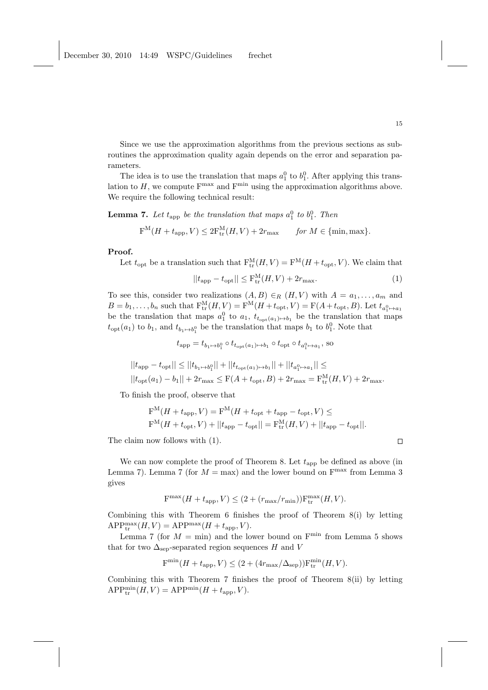Since we use the approximation algorithms from the previous sections as subroutines the approximation quality again depends on the error and separation parameters.

The idea is to use the translation that maps  $a_1^0$  to  $b_1^0$ . After applying this translation to  $H$ , we compute  $F<sup>max</sup>$  and  $F<sup>min</sup>$  using the approximation algorithms above. We require the following technical result:

**Lemma 7.** Let  $t_{\text{app}}$  be the translation that maps  $a_1^0$  to  $b_1^0$ . Then

$$
\mathbf{F}^{\mathbf{M}}(H + t_{\text{app}}, V) \le 2\mathbf{F}_{\text{tr}}^{\mathbf{M}}(H, V) + 2r_{\text{max}} \quad \text{for } M \in \{\text{min}, \text{max}\}.
$$

### Proof.

Let  $t_{\rm opt}$  be a translation such that  $F_{tr}^M(H, V) = F^M(H + t_{\rm opt}, V)$ . We claim that

$$
||t_{\rm app} - t_{\rm opt}|| \le F_{\rm tr}^{\rm M}(H, V) + 2r_{\rm max}.\tag{1}
$$

To see this, consider two realizations  $(A, B) \in_R (H, V)$  with  $A = a_1, \ldots, a_m$  and  $B = b_1, \ldots, b_n$  such that  $\mathcal{F}^{\mathcal{M}}_{tr}(H, V) = \mathcal{F}^{\mathcal{M}}(H + t_{\text{opt}}, V) = \mathcal{F}(A + t_{\text{opt}}, B)$ . Let  $t_{a_1^0 \mapsto a_1}$ be the translation that maps  $a_1^0$  to  $a_1$ ,  $t_{t_{\text{opt}}(a_1)\mapsto b_1}$  be the translation that maps  $t_{\text{opt}}(a_1)$  to  $b_1$ , and  $t_{b_1 \rightarrow b_1^0}$  be the translation that maps  $b_1$  to  $b_1^0$ . Note that

$$
t_{\rm app} = t_{b_1 \mapsto b_1^0} \circ t_{t_{\rm opt}(a_1) \mapsto b_1} \circ t_{\rm opt} \circ t_{a_1^0 \mapsto a_1}, \text{ so }
$$

$$
||t_{\rm app} - t_{\rm opt}|| \le ||t_{b_1 \to b_1^0}|| + ||t_{t_{\rm opt}(a_1) \to b_1}|| + ||t_{a_1^0 \to a_1}|| \le
$$
  

$$
||t_{\rm opt}(a_1) - b_1|| + 2r_{\rm max} \le F(A + t_{\rm opt}, B) + 2r_{\rm max} = F_{\rm tr}^{\rm M}(H, V) + 2r_{\rm max}.
$$

To finish the proof, observe that

$$
\begin{aligned} &\mathbf{F}^{\mathrm{M}}(H+t_{\mathrm{app}},V)=\mathbf{F}^{\mathrm{M}}(H+t_{\mathrm{opt}}+t_{\mathrm{app}}-t_{\mathrm{opt}},V)\leq\\ &\mathbf{F}^{\mathrm{M}}(H+t_{\mathrm{opt}},V)+||t_{\mathrm{app}}-t_{\mathrm{opt}}||=\mathbf{F}^{\mathrm{M}}_{\mathrm{tr}}(H,V)+||t_{\mathrm{app}}-t_{\mathrm{opt}}||. \end{aligned}
$$

The claim now follows with (1).

We can now complete the proof of Theorem 8. Let  $t_{app}$  be defined as above (in Lemma 7). Lemma 7 (for  $M = \text{max}$ ) and the lower bound on  $F^{\text{max}}$  from Lemma 3 gives

$$
\mathbf{F}^{\max}(H+t_{\mathrm{app}},V) \leq (2+(r_{\max}/r_{\min}))\mathbf{F}_{\mathrm{tr}}^{\max}(H,V).
$$

Combining this with Theorem 6 finishes the proof of Theorem 8(i) by letting  $\mathrm{APP}_{\mathrm{tr}}^{\max}(H, V) = \mathrm{APP}_{\max}(H + t_{\mathrm{app}}, V).$ 

Lemma 7 (for  $M = \min$ ) and the lower bound on  $F^{\min}$  from Lemma 5 shows that for two  $\Delta_{\rm sep}$ -separated region sequences H and V

$$
\mathbf{F}^{\min}(H + t_{\text{app}}, V) \le (2 + (4r_{\text{max}}/\Delta_{\text{sep}}))\mathbf{F}^{\min}_{\text{tr}}(H, V).
$$

Combining this with Theorem 7 finishes the proof of Theorem 8(ii) by letting  $\mathrm{APP}_{\mathrm{tr}}^{\min}(H, V) = \mathrm{APP}_{\min}(H + t_{\mathrm{app}}, V).$ 

 $\Box$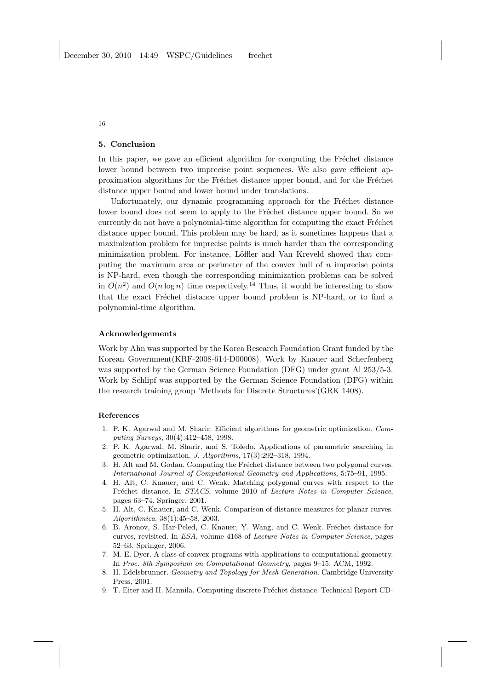### 5. Conclusion

In this paper, we gave an efficient algorithm for computing the Fréchet distance lower bound between two imprecise point sequences. We also gave efficient approximation algorithms for the Fréchet distance upper bound, and for the Fréchet distance upper bound and lower bound under translations.

Unfortunately, our dynamic programming approach for the Fréchet distance lower bound does not seem to apply to the Fréchet distance upper bound. So we currently do not have a polynomial-time algorithm for computing the exact Fréchet distance upper bound. This problem may be hard, as it sometimes happens that a maximization problem for imprecise points is much harder than the corresponding minimization problem. For instance, Löffler and Van Kreveld showed that computing the maximum area or perimeter of the convex hull of  $n$  imprecise points is NP-hard, even though the corresponding minimization problems can be solved in  $O(n^2)$  and  $O(n \log n)$  time respectively.<sup>14</sup> Thus, it would be interesting to show that the exact Fréchet distance upper bound problem is NP-hard, or to find a polynomial-time algorithm.

### Acknowledgements

Work by Ahn was supported by the Korea Research Foundation Grant funded by the Korean Government(KRF-2008-614-D00008). Work by Knauer and Scherfenberg was supported by the German Science Foundation (DFG) under grant Al 253/5-3. Work by Schlipf was supported by the German Science Foundation (DFG) within the research training group 'Methods for Discrete Structures'(GRK 1408).

#### References

- 1. P. K. Agarwal and M. Sharir. Efficient algorithms for geometric optimization. Computing Surveys, 30(4):412–458, 1998.
- 2. P. K. Agarwal, M. Sharir, and S. Toledo. Applications of parametric searching in geometric optimization. J. Algorithms, 17(3):292–318, 1994.
- 3. H. Alt and M. Godau. Computing the Fréchet distance between two polygonal curves. International Journal of Computational Geometry and Applications, 5:75–91, 1995.
- 4. H. Alt, C. Knauer, and C. Wenk. Matching polygonal curves with respect to the Fréchet distance. In STACS, volume 2010 of Lecture Notes in Computer Science, pages 63–74. Springer, 2001.
- 5. H. Alt, C. Knauer, and C. Wenk. Comparison of distance measures for planar curves. Algorithmica, 38(1):45–58, 2003.
- 6. B. Aronov, S. Har-Peled, C. Knauer, Y. Wang, and C. Wenk. Fréchet distance for curves, revisited. In ESA, volume 4168 of Lecture Notes in Computer Science, pages 52–63. Springer, 2006.
- 7. M. E. Dyer. A class of convex programs with applications to computational geometry. In Proc. 8th Symposium on Computational Geometry, pages 9–15. ACM, 1992.
- 8. H. Edelsbrunner. Geometry and Topology for Mesh Generation. Cambridge University Press, 2001.
- 9. T. Eiter and H. Mannila. Computing discrete Fréchet distance. Technical Report CD-